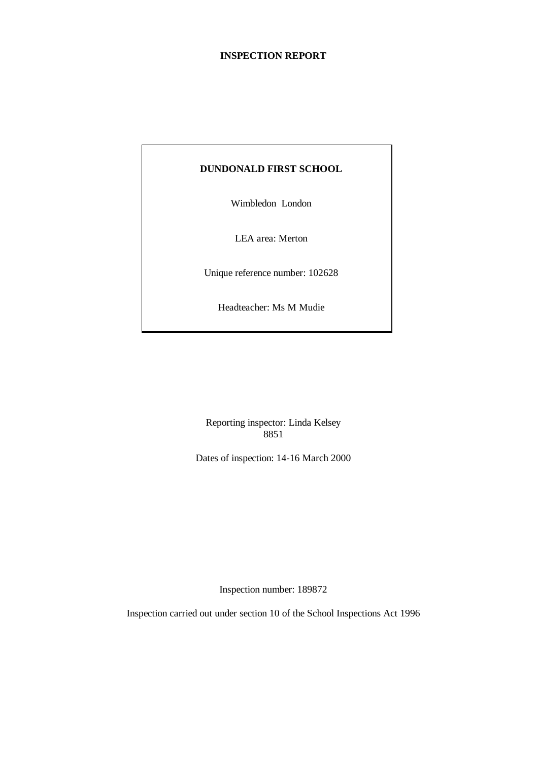# **INSPECTION REPORT**

# **DUNDONALD FIRST SCHOOL**

Wimbledon London

LEA area: Merton

Unique reference number: 102628

Headteacher: Ms M Mudie

Reporting inspector: Linda Kelsey 8851

Dates of inspection: 14-16 March 2000

Inspection number: 189872

Inspection carried out under section 10 of the School Inspections Act 1996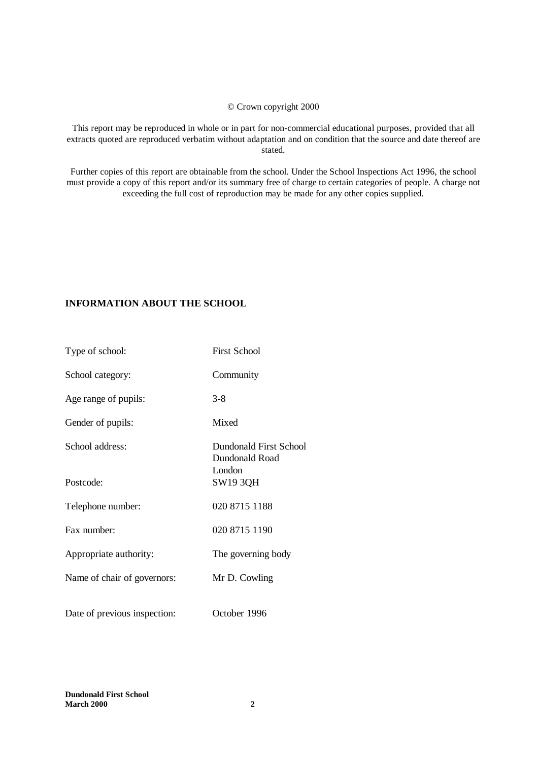### © Crown copyright 2000

This report may be reproduced in whole or in part for non-commercial educational purposes, provided that all extracts quoted are reproduced verbatim without adaptation and on condition that the source and date thereof are stated.

Further copies of this report are obtainable from the school. Under the School Inspections Act 1996, the school must provide a copy of this report and/or its summary free of charge to certain categories of people. A charge not exceeding the full cost of reproduction may be made for any other copies supplied.

# **INFORMATION ABOUT THE SCHOOL**

| Type of school:              | <b>First School</b>                                |
|------------------------------|----------------------------------------------------|
| School category:             | Community                                          |
| Age range of pupils:         | $3 - 8$                                            |
| Gender of pupils:            | Mixed                                              |
| School address:              | Dundonald First School<br>Dundonald Road<br>London |
| Postcode:                    | SW19 3QH                                           |
| Telephone number:            | 020 8715 1188                                      |
| Fax number:                  | 020 8715 1190                                      |
| Appropriate authority:       | The governing body                                 |
| Name of chair of governors:  | Mr D. Cowling                                      |
| Date of previous inspection: | October 1996                                       |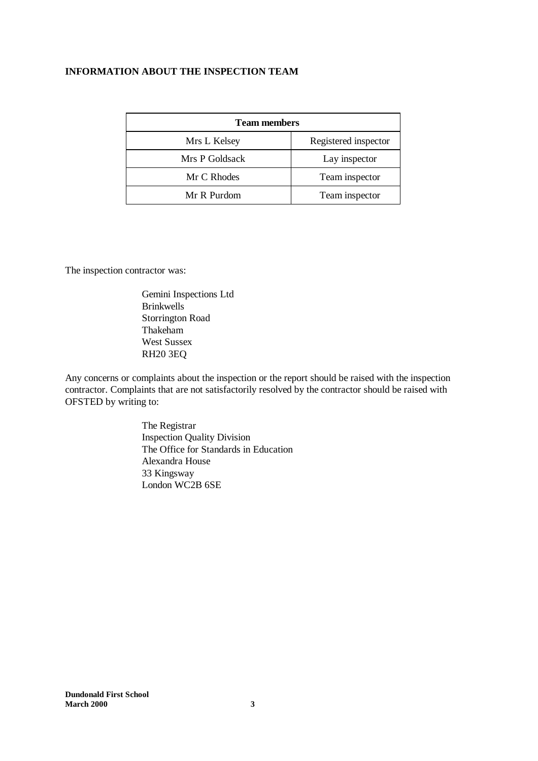# **INFORMATION ABOUT THE INSPECTION TEAM**

| <b>Team members</b> |                      |  |  |
|---------------------|----------------------|--|--|
| Mrs L Kelsey        | Registered inspector |  |  |
| Mrs P Goldsack      | Lay inspector        |  |  |
| Mr C Rhodes         | Team inspector       |  |  |
| Mr R Purdom         | Team inspector       |  |  |

The inspection contractor was:

Gemini Inspections Ltd **Brinkwells** Storrington Road Thakeham West Sussex RH20 3EQ

Any concerns or complaints about the inspection or the report should be raised with the inspection contractor. Complaints that are not satisfactorily resolved by the contractor should be raised with OFSTED by writing to:

> The Registrar Inspection Quality Division The Office for Standards in Education Alexandra House 33 Kingsway London WC2B 6SE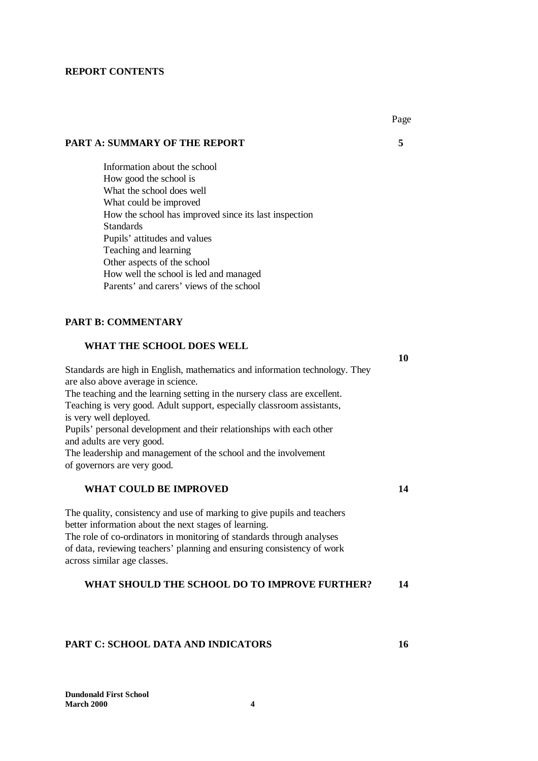#### **REPORT CONTENTS**

# **PART A: SUMMARY OF THE REPORT 5**

Information about the school How good the school is What the school does well What could be improved How the school has improved since its last inspection **Standards** Pupils' attitudes and values Teaching and learning Other aspects of the school How well the school is led and managed Parents' and carers' views of the school

# **PART B: COMMENTARY**

#### **WHAT THE SCHOOL DOES WELL**

| Standards are high in English, mathematics and information technology. They |
|-----------------------------------------------------------------------------|
| are also above average in science.                                          |
| The teaching and the learning setting in the nursery class are excellent.   |
| Teaching is very good. Adult support, especially classroom assistants,      |
| is very well deployed.                                                      |
| Pupils' personal development and their relationships with each other        |
| and adults are very good.                                                   |
| The leadership and management of the school and the involvement             |
| of governors are very good.                                                 |
| WHAT COULD BE IMPROVED<br>14                                                |

The quality, consistency and use of marking to give pupils and teachers better information about the next stages of learning. The role of co-ordinators in monitoring of standards through analyses of data, reviewing teachers' planning and ensuring consistency of work across similar age classes.

#### **WHAT SHOULD THE SCHOOL DO TO IMPROVE FURTHER? 14**

#### **PART C: SCHOOL DATA AND INDICATORS 16**

**10**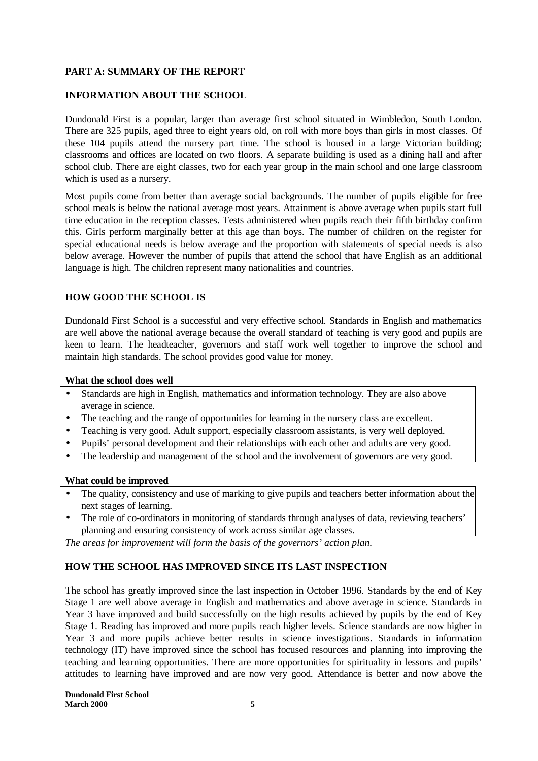# **PART A: SUMMARY OF THE REPORT**

# **INFORMATION ABOUT THE SCHOOL**

Dundonald First is a popular, larger than average first school situated in Wimbledon, South London. There are 325 pupils, aged three to eight years old, on roll with more boys than girls in most classes. Of these 104 pupils attend the nursery part time. The school is housed in a large Victorian building; classrooms and offices are located on two floors. A separate building is used as a dining hall and after school club. There are eight classes, two for each year group in the main school and one large classroom which is used as a nursery.

Most pupils come from better than average social backgrounds. The number of pupils eligible for free school meals is below the national average most years. Attainment is above average when pupils start full time education in the reception classes. Tests administered when pupils reach their fifth birthday confirm this. Girls perform marginally better at this age than boys. The number of children on the register for special educational needs is below average and the proportion with statements of special needs is also below average. However the number of pupils that attend the school that have English as an additional language is high. The children represent many nationalities and countries.

# **HOW GOOD THE SCHOOL IS**

Dundonald First School is a successful and very effective school. Standards in English and mathematics are well above the national average because the overall standard of teaching is very good and pupils are keen to learn. The headteacher, governors and staff work well together to improve the school and maintain high standards. The school provides good value for money.

#### **What the school does well**

- Standards are high in English, mathematics and information technology. They are also above average in science.
- The teaching and the range of opportunities for learning in the nursery class are excellent.
- Teaching is very good. Adult support, especially classroom assistants, is very well deployed.
- Pupils' personal development and their relationships with each other and adults are very good.
- The leadership and management of the school and the involvement of governors are very good.

### **What could be improved**

- The quality, consistency and use of marking to give pupils and teachers better information about the next stages of learning.
- The role of co-ordinators in monitoring of standards through analyses of data, reviewing teachers' planning and ensuring consistency of work across similar age classes.

*The areas for improvement will form the basis of the governors' action plan.*

# **HOW THE SCHOOL HAS IMPROVED SINCE ITS LAST INSPECTION**

The school has greatly improved since the last inspection in October 1996. Standards by the end of Key Stage 1 are well above average in English and mathematics and above average in science. Standards in Year 3 have improved and build successfully on the high results achieved by pupils by the end of Key Stage 1. Reading has improved and more pupils reach higher levels. Science standards are now higher in Year 3 and more pupils achieve better results in science investigations. Standards in information technology (IT) have improved since the school has focused resources and planning into improving the teaching and learning opportunities. There are more opportunities for spirituality in lessons and pupils' attitudes to learning have improved and are now very good. Attendance is better and now above the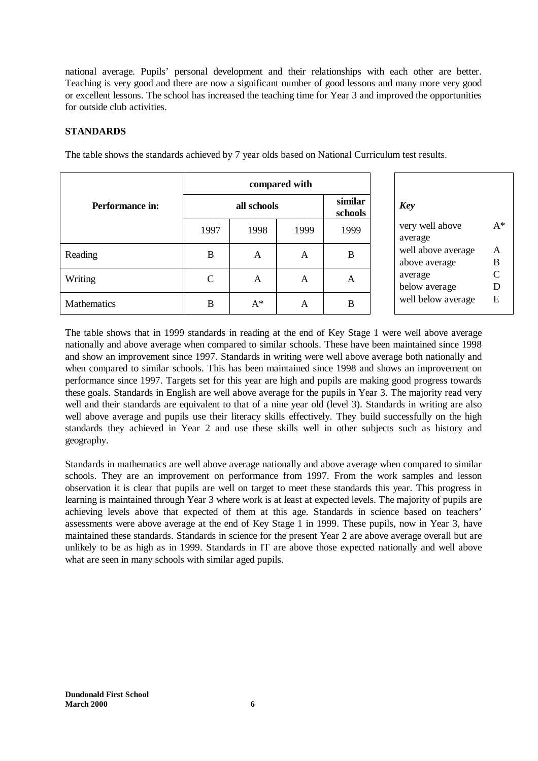national average. Pupils' personal development and their relationships with each other are better. Teaching is very good and there are now a significant number of good lessons and many more very good or excellent lessons. The school has increased the teaching time for Year 3 and improved the opportunities for outside club activities.

# **STANDARDS**

|                        | compared with |             |      |                    |                                     |
|------------------------|---------------|-------------|------|--------------------|-------------------------------------|
| <b>Performance in:</b> |               | all schools |      | similar<br>schools | <b>Key</b>                          |
|                        | 1997          | 1998        | 1999 | 1999               | very well above<br>average          |
| Reading                | B             | A           | Α    | B                  | well above average<br>above average |
| Writing                | C             | A           | A    | A                  | average<br>below average            |
| Mathematics            | B             | $A^*$       | A    | B                  | well below average                  |

The table shows the standards achieved by 7 year olds based on National Curriculum test results.

The table shows that in 1999 standards in reading at the end of Key Stage 1 were well above average nationally and above average when compared to similar schools. These have been maintained since 1998 and show an improvement since 1997. Standards in writing were well above average both nationally and when compared to similar schools. This has been maintained since 1998 and shows an improvement on performance since 1997. Targets set for this year are high and pupils are making good progress towards these goals. Standards in English are well above average for the pupils in Year 3. The majority read very well and their standards are equivalent to that of a nine year old (level 3). Standards in writing are also well above average and pupils use their literacy skills effectively. They build successfully on the high standards they achieved in Year 2 and use these skills well in other subjects such as history and geography.

Standards in mathematics are well above average nationally and above average when compared to similar schools. They are an improvement on performance from 1997. From the work samples and lesson observation it is clear that pupils are well on target to meet these standards this year. This progress in learning is maintained through Year 3 where work is at least at expected levels. The majority of pupils are achieving levels above that expected of them at this age. Standards in science based on teachers' assessments were above average at the end of Key Stage 1 in 1999. These pupils, now in Year 3, have maintained these standards. Standards in science for the present Year 2 are above average overall but are unlikely to be as high as in 1999. Standards in IT are above those expected nationally and well above what are seen in many schools with similar aged pupils.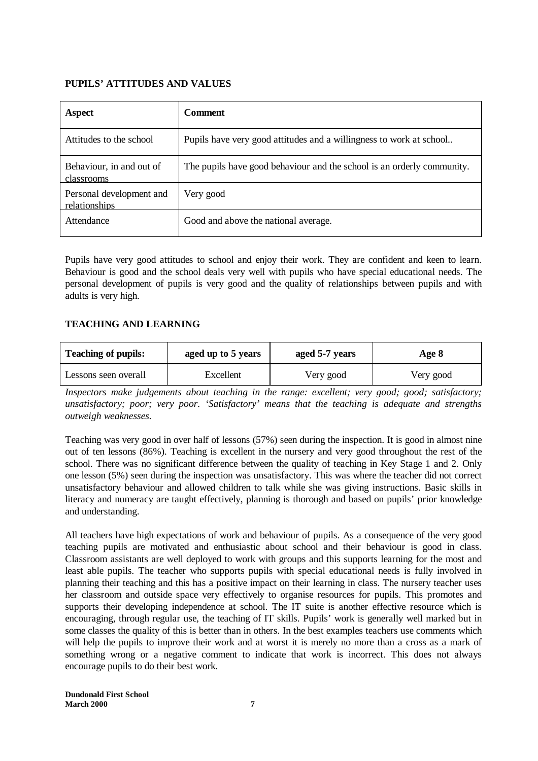# **PUPILS' ATTITUDES AND VALUES**

| Aspect                                    | <b>Comment</b>                                                         |
|-------------------------------------------|------------------------------------------------------------------------|
| Attitudes to the school                   | Pupils have very good attitudes and a willingness to work at school    |
| Behaviour, in and out of<br>classrooms    | The pupils have good behaviour and the school is an orderly community. |
| Personal development and<br>relationships | Very good                                                              |
| Attendance                                | Good and above the national average.                                   |

Pupils have very good attitudes to school and enjoy their work. They are confident and keen to learn. Behaviour is good and the school deals very well with pupils who have special educational needs. The personal development of pupils is very good and the quality of relationships between pupils and with adults is very high.

# **TEACHING AND LEARNING**

| <b>Teaching of pupils:</b> | aged up to 5 years | aged 5-7 years | Age 8     |  |
|----------------------------|--------------------|----------------|-----------|--|
| Lessons seen overall       | Excellent          | Very good      | Very good |  |

*Inspectors make judgements about teaching in the range: excellent; very good; good; satisfactory; unsatisfactory; poor; very poor. 'Satisfactory' means that the teaching is adequate and strengths outweigh weaknesses.*

Teaching was very good in over half of lessons (57%) seen during the inspection. It is good in almost nine out of ten lessons (86%). Teaching is excellent in the nursery and very good throughout the rest of the school. There was no significant difference between the quality of teaching in Key Stage 1 and 2. Only one lesson (5%) seen during the inspection was unsatisfactory. This was where the teacher did not correct unsatisfactory behaviour and allowed children to talk while she was giving instructions. Basic skills in literacy and numeracy are taught effectively, planning is thorough and based on pupils' prior knowledge and understanding.

All teachers have high expectations of work and behaviour of pupils. As a consequence of the very good teaching pupils are motivated and enthusiastic about school and their behaviour is good in class. Classroom assistants are well deployed to work with groups and this supports learning for the most and least able pupils. The teacher who supports pupils with special educational needs is fully involved in planning their teaching and this has a positive impact on their learning in class. The nursery teacher uses her classroom and outside space very effectively to organise resources for pupils. This promotes and supports their developing independence at school. The IT suite is another effective resource which is encouraging, through regular use, the teaching of IT skills. Pupils' work is generally well marked but in some classes the quality of this is better than in others. In the best examples teachers use comments which will help the pupils to improve their work and at worst it is merely no more than a cross as a mark of something wrong or a negative comment to indicate that work is incorrect. This does not always encourage pupils to do their best work.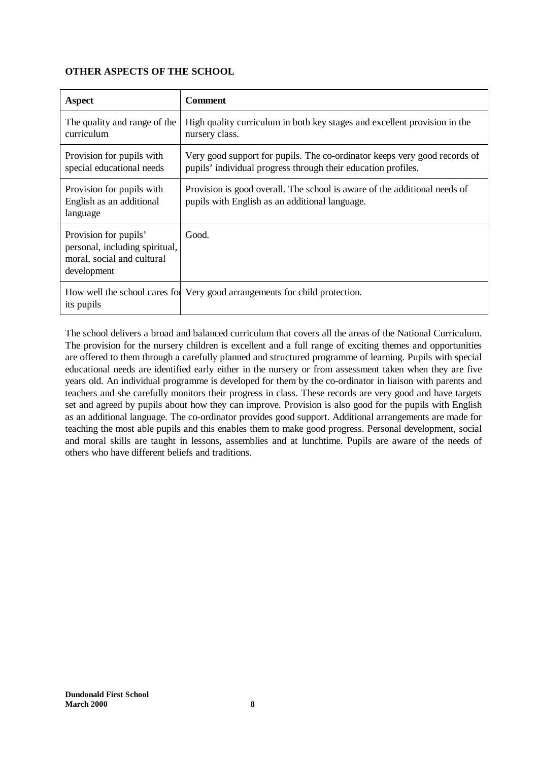# **OTHER ASPECTS OF THE SCHOOL**

| <b>Aspect</b>                                                                                        | <b>Comment</b>                                                                                                                             |
|------------------------------------------------------------------------------------------------------|--------------------------------------------------------------------------------------------------------------------------------------------|
| The quality and range of the<br>curriculum                                                           | High quality curriculum in both key stages and excellent provision in the<br>nursery class.                                                |
| Provision for pupils with<br>special educational needs                                               | Very good support for pupils. The co-ordinator keeps very good records of<br>pupils' individual progress through their education profiles. |
| Provision for pupils with<br>English as an additional<br>language                                    | Provision is good overall. The school is aware of the additional needs of<br>pupils with English as an additional language.                |
| Provision for pupils'<br>personal, including spiritual,<br>moral, social and cultural<br>development | Good.                                                                                                                                      |
| its pupils                                                                                           | How well the school cares for Very good arrangements for child protection.                                                                 |

The school delivers a broad and balanced curriculum that covers all the areas of the National Curriculum. The provision for the nursery children is excellent and a full range of exciting themes and opportunities are offered to them through a carefully planned and structured programme of learning. Pupils with special educational needs are identified early either in the nursery or from assessment taken when they are five years old. An individual programme is developed for them by the co-ordinator in liaison with parents and teachers and she carefully monitors their progress in class. These records are very good and have targets set and agreed by pupils about how they can improve. Provision is also good for the pupils with English as an additional language. The co-ordinator provides good support. Additional arrangements are made for teaching the most able pupils and this enables them to make good progress. Personal development, social and moral skills are taught in lessons, assemblies and at lunchtime. Pupils are aware of the needs of others who have different beliefs and traditions.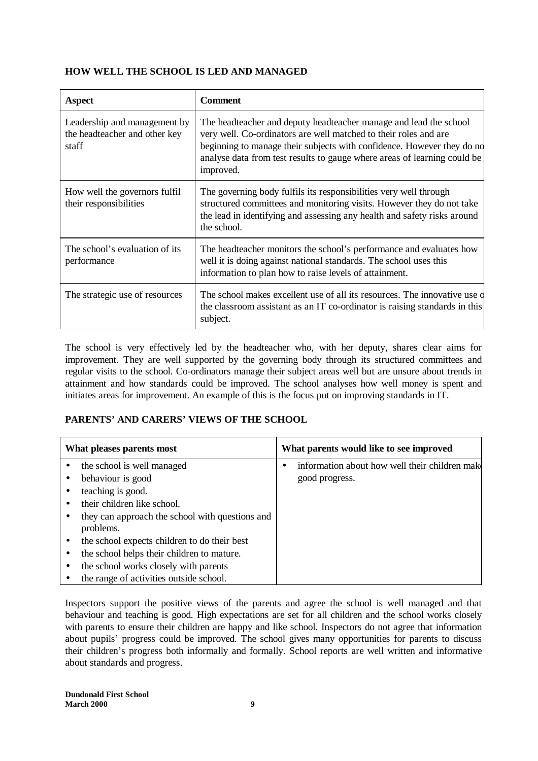# **HOW WELL THE SCHOOL IS LED AND MANAGED**

| Aspect                                                                 | <b>Comment</b>                                                                                                                                                                                                                                                                                           |
|------------------------------------------------------------------------|----------------------------------------------------------------------------------------------------------------------------------------------------------------------------------------------------------------------------------------------------------------------------------------------------------|
| Leadership and management by<br>the headteacher and other key<br>staff | The headteacher and deputy headteacher manage and lead the school<br>very well. Co-ordinators are well matched to their roles and are<br>beginning to manage their subjects with confidence. However they do no<br>analyse data from test results to gauge where areas of learning could be<br>improved. |
| How well the governors fulfil<br>their responsibilities                | The governing body fulfils its responsibilities very well through<br>structured committees and monitoring visits. However they do not take<br>the lead in identifying and assessing any health and safety risks around<br>the school.                                                                    |
| The school's evaluation of its<br>performance                          | The headteacher monitors the school's performance and evaluates how<br>well it is doing against national standards. The school uses this<br>information to plan how to raise levels of attainment.                                                                                                       |
| The strategic use of resources                                         | The school makes excellent use of all its resources. The innovative use of<br>the classroom assistant as an IT co-ordinator is raising standards in this<br>subject.                                                                                                                                     |

The school is very effectively led by the headteacher who, with her deputy, shares clear aims for improvement. They are well supported by the governing body through its structured committees and regular visits to the school. Co-ordinators manage their subject areas well but are unsure about trends in attainment and how standards could be improved. The school analyses how well money is spent and initiates areas for improvement. An example of this is the focus put on improving standards in IT.

# **PARENTS' AND CARERS' VIEWS OF THE SCHOOL**

| What pleases parents most                       | What parents would like to see improved        |
|-------------------------------------------------|------------------------------------------------|
| the school is well managed                      | information about how well their children make |
| behaviour is good                               | good progress.                                 |
| teaching is good.                               |                                                |
| their children like school.                     |                                                |
| they can approach the school with questions and |                                                |
| problems.                                       |                                                |
| the school expects children to do their best    |                                                |
| the school helps their children to mature.      |                                                |
| the school works closely with parents           |                                                |
| the range of activities outside school.         |                                                |

Inspectors support the positive views of the parents and agree the school is well managed and that behaviour and teaching is good. High expectations are set for all children and the school works closely with parents to ensure their children are happy and like school. Inspectors do not agree that information about pupils' progress could be improved. The school gives many opportunities for parents to discuss their children's progress both informally and formally. School reports are well written and informative about standards and progress.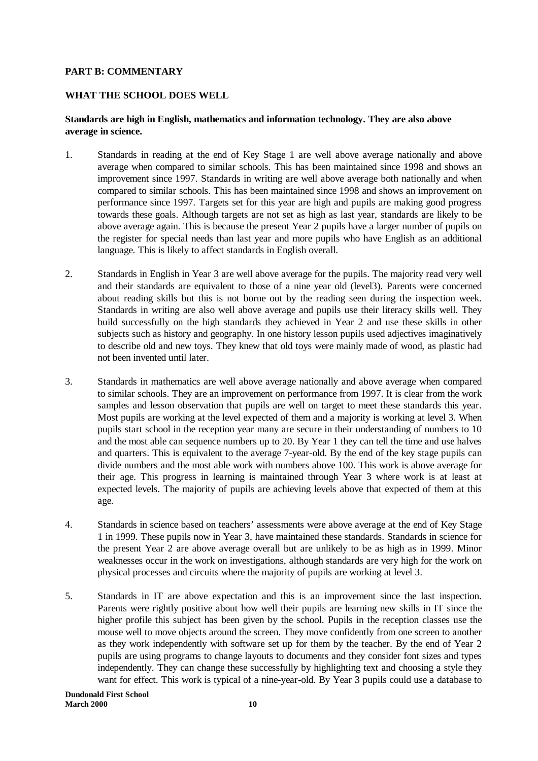# **PART B: COMMENTARY**

# **WHAT THE SCHOOL DOES WELL**

# **Standards are high in English, mathematics and information technology. They are also above average in science.**

- 1. Standards in reading at the end of Key Stage 1 are well above average nationally and above average when compared to similar schools. This has been maintained since 1998 and shows an improvement since 1997. Standards in writing are well above average both nationally and when compared to similar schools. This has been maintained since 1998 and shows an improvement on performance since 1997. Targets set for this year are high and pupils are making good progress towards these goals. Although targets are not set as high as last year, standards are likely to be above average again. This is because the present Year 2 pupils have a larger number of pupils on the register for special needs than last year and more pupils who have English as an additional language. This is likely to affect standards in English overall.
- 2. Standards in English in Year 3 are well above average for the pupils. The majority read very well and their standards are equivalent to those of a nine year old (level3). Parents were concerned about reading skills but this is not borne out by the reading seen during the inspection week. Standards in writing are also well above average and pupils use their literacy skills well. They build successfully on the high standards they achieved in Year 2 and use these skills in other subjects such as history and geography. In one history lesson pupils used adjectives imaginatively to describe old and new toys. They knew that old toys were mainly made of wood, as plastic had not been invented until later.
- 3. Standards in mathematics are well above average nationally and above average when compared to similar schools. They are an improvement on performance from 1997. It is clear from the work samples and lesson observation that pupils are well on target to meet these standards this year. Most pupils are working at the level expected of them and a majority is working at level 3. When pupils start school in the reception year many are secure in their understanding of numbers to 10 and the most able can sequence numbers up to 20. By Year 1 they can tell the time and use halves and quarters. This is equivalent to the average 7-year-old. By the end of the key stage pupils can divide numbers and the most able work with numbers above 100. This work is above average for their age. This progress in learning is maintained through Year 3 where work is at least at expected levels. The majority of pupils are achieving levels above that expected of them at this age.
- 4. Standards in science based on teachers' assessments were above average at the end of Key Stage 1 in 1999. These pupils now in Year 3, have maintained these standards. Standards in science for the present Year 2 are above average overall but are unlikely to be as high as in 1999. Minor weaknesses occur in the work on investigations, although standards are very high for the work on physical processes and circuits where the majority of pupils are working at level 3.
- 5. Standards in IT are above expectation and this is an improvement since the last inspection. Parents were rightly positive about how well their pupils are learning new skills in IT since the higher profile this subject has been given by the school. Pupils in the reception classes use the mouse well to move objects around the screen. They move confidently from one screen to another as they work independently with software set up for them by the teacher. By the end of Year 2 pupils are using programs to change layouts to documents and they consider font sizes and types independently. They can change these successfully by highlighting text and choosing a style they want for effect. This work is typical of a nine-year-old. By Year 3 pupils could use a database to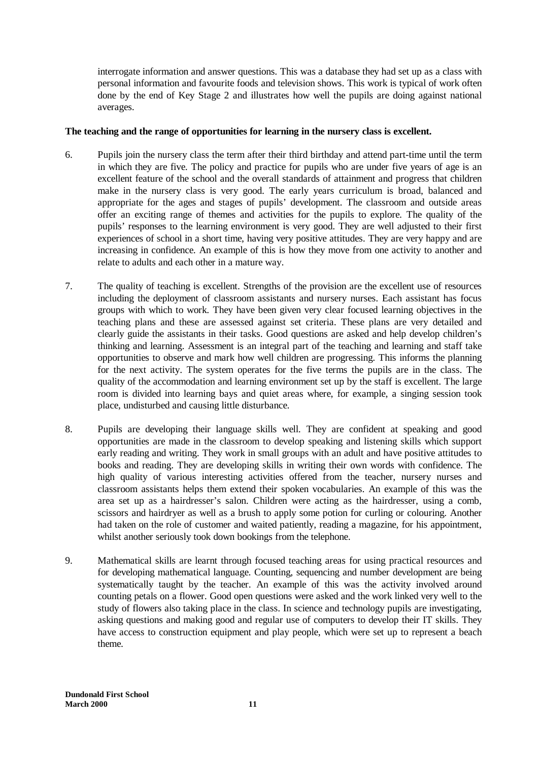interrogate information and answer questions. This was a database they had set up as a class with personal information and favourite foods and television shows. This work is typical of work often done by the end of Key Stage 2 and illustrates how well the pupils are doing against national averages.

# **The teaching and the range of opportunities for learning in the nursery class is excellent.**

- 6. Pupils join the nursery class the term after their third birthday and attend part-time until the term in which they are five. The policy and practice for pupils who are under five years of age is an excellent feature of the school and the overall standards of attainment and progress that children make in the nursery class is very good. The early years curriculum is broad, balanced and appropriate for the ages and stages of pupils' development. The classroom and outside areas offer an exciting range of themes and activities for the pupils to explore. The quality of the pupils' responses to the learning environment is very good. They are well adjusted to their first experiences of school in a short time, having very positive attitudes. They are very happy and are increasing in confidence. An example of this is how they move from one activity to another and relate to adults and each other in a mature way.
- 7. The quality of teaching is excellent. Strengths of the provision are the excellent use of resources including the deployment of classroom assistants and nursery nurses. Each assistant has focus groups with which to work. They have been given very clear focused learning objectives in the teaching plans and these are assessed against set criteria. These plans are very detailed and clearly guide the assistants in their tasks. Good questions are asked and help develop children's thinking and learning. Assessment is an integral part of the teaching and learning and staff take opportunities to observe and mark how well children are progressing. This informs the planning for the next activity. The system operates for the five terms the pupils are in the class. The quality of the accommodation and learning environment set up by the staff is excellent. The large room is divided into learning bays and quiet areas where, for example, a singing session took place, undisturbed and causing little disturbance.
- 8. Pupils are developing their language skills well. They are confident at speaking and good opportunities are made in the classroom to develop speaking and listening skills which support early reading and writing. They work in small groups with an adult and have positive attitudes to books and reading. They are developing skills in writing their own words with confidence. The high quality of various interesting activities offered from the teacher, nursery nurses and classroom assistants helps them extend their spoken vocabularies. An example of this was the area set up as a hairdresser's salon. Children were acting as the hairdresser, using a comb, scissors and hairdryer as well as a brush to apply some potion for curling or colouring. Another had taken on the role of customer and waited patiently, reading a magazine, for his appointment, whilst another seriously took down bookings from the telephone.
- 9. Mathematical skills are learnt through focused teaching areas for using practical resources and for developing mathematical language. Counting, sequencing and number development are being systematically taught by the teacher. An example of this was the activity involved around counting petals on a flower. Good open questions were asked and the work linked very well to the study of flowers also taking place in the class. In science and technology pupils are investigating, asking questions and making good and regular use of computers to develop their IT skills. They have access to construction equipment and play people, which were set up to represent a beach theme.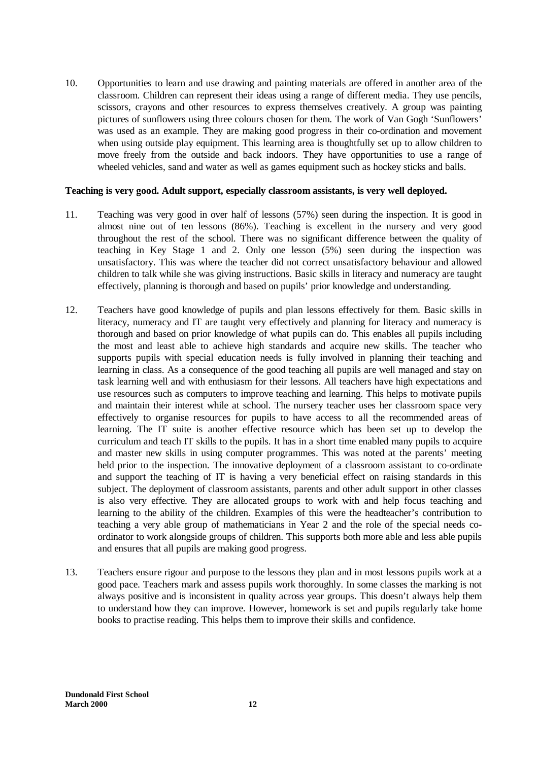10. Opportunities to learn and use drawing and painting materials are offered in another area of the classroom. Children can represent their ideas using a range of different media. They use pencils, scissors, crayons and other resources to express themselves creatively. A group was painting pictures of sunflowers using three colours chosen for them. The work of Van Gogh 'Sunflowers' was used as an example. They are making good progress in their co-ordination and movement when using outside play equipment. This learning area is thoughtfully set up to allow children to move freely from the outside and back indoors. They have opportunities to use a range of wheeled vehicles, sand and water as well as games equipment such as hockey sticks and balls.

# **Teaching is very good. Adult support, especially classroom assistants, is very well deployed.**

- 11. Teaching was very good in over half of lessons (57%) seen during the inspection. It is good in almost nine out of ten lessons (86%). Teaching is excellent in the nursery and very good throughout the rest of the school. There was no significant difference between the quality of teaching in Key Stage 1 and 2. Only one lesson (5%) seen during the inspection was unsatisfactory. This was where the teacher did not correct unsatisfactory behaviour and allowed children to talk while she was giving instructions. Basic skills in literacy and numeracy are taught effectively, planning is thorough and based on pupils' prior knowledge and understanding.
- 12. Teachers have good knowledge of pupils and plan lessons effectively for them. Basic skills in literacy, numeracy and IT are taught very effectively and planning for literacy and numeracy is thorough and based on prior knowledge of what pupils can do. This enables all pupils including the most and least able to achieve high standards and acquire new skills. The teacher who supports pupils with special education needs is fully involved in planning their teaching and learning in class. As a consequence of the good teaching all pupils are well managed and stay on task learning well and with enthusiasm for their lessons. All teachers have high expectations and use resources such as computers to improve teaching and learning. This helps to motivate pupils and maintain their interest while at school. The nursery teacher uses her classroom space very effectively to organise resources for pupils to have access to all the recommended areas of learning. The IT suite is another effective resource which has been set up to develop the curriculum and teach IT skills to the pupils. It has in a short time enabled many pupils to acquire and master new skills in using computer programmes. This was noted at the parents' meeting held prior to the inspection. The innovative deployment of a classroom assistant to co-ordinate and support the teaching of IT is having a very beneficial effect on raising standards in this subject. The deployment of classroom assistants, parents and other adult support in other classes is also very effective. They are allocated groups to work with and help focus teaching and learning to the ability of the children. Examples of this were the headteacher's contribution to teaching a very able group of mathematicians in Year 2 and the role of the special needs coordinator to work alongside groups of children. This supports both more able and less able pupils and ensures that all pupils are making good progress.
- 13. Teachers ensure rigour and purpose to the lessons they plan and in most lessons pupils work at a good pace. Teachers mark and assess pupils work thoroughly. In some classes the marking is not always positive and is inconsistent in quality across year groups. This doesn't always help them to understand how they can improve. However, homework is set and pupils regularly take home books to practise reading. This helps them to improve their skills and confidence.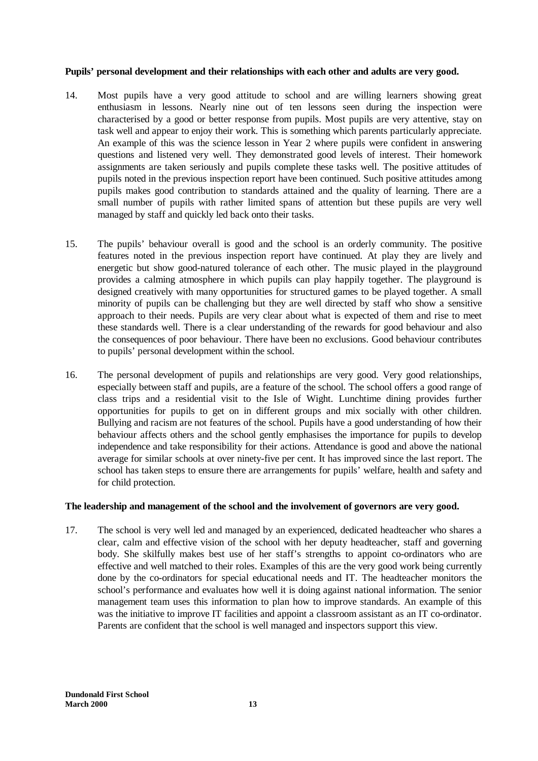# **Pupils' personal development and their relationships with each other and adults are very good.**

- 14. Most pupils have a very good attitude to school and are willing learners showing great enthusiasm in lessons. Nearly nine out of ten lessons seen during the inspection were characterised by a good or better response from pupils. Most pupils are very attentive, stay on task well and appear to enjoy their work. This is something which parents particularly appreciate. An example of this was the science lesson in Year 2 where pupils were confident in answering questions and listened very well. They demonstrated good levels of interest. Their homework assignments are taken seriously and pupils complete these tasks well. The positive attitudes of pupils noted in the previous inspection report have been continued. Such positive attitudes among pupils makes good contribution to standards attained and the quality of learning. There are a small number of pupils with rather limited spans of attention but these pupils are very well managed by staff and quickly led back onto their tasks.
- 15. The pupils' behaviour overall is good and the school is an orderly community. The positive features noted in the previous inspection report have continued. At play they are lively and energetic but show good-natured tolerance of each other. The music played in the playground provides a calming atmosphere in which pupils can play happily together. The playground is designed creatively with many opportunities for structured games to be played together. A small minority of pupils can be challenging but they are well directed by staff who show a sensitive approach to their needs. Pupils are very clear about what is expected of them and rise to meet these standards well. There is a clear understanding of the rewards for good behaviour and also the consequences of poor behaviour. There have been no exclusions. Good behaviour contributes to pupils' personal development within the school.
- 16. The personal development of pupils and relationships are very good. Very good relationships, especially between staff and pupils, are a feature of the school. The school offers a good range of class trips and a residential visit to the Isle of Wight. Lunchtime dining provides further opportunities for pupils to get on in different groups and mix socially with other children. Bullying and racism are not features of the school. Pupils have a good understanding of how their behaviour affects others and the school gently emphasises the importance for pupils to develop independence and take responsibility for their actions. Attendance is good and above the national average for similar schools at over ninety-five per cent. It has improved since the last report. The school has taken steps to ensure there are arrangements for pupils' welfare, health and safety and for child protection.

### **The leadership and management of the school and the involvement of governors are very good.**

17. The school is very well led and managed by an experienced, dedicated headteacher who shares a clear, calm and effective vision of the school with her deputy headteacher, staff and governing body. She skilfully makes best use of her staff's strengths to appoint co-ordinators who are effective and well matched to their roles. Examples of this are the very good work being currently done by the co-ordinators for special educational needs and IT. The headteacher monitors the school's performance and evaluates how well it is doing against national information. The senior management team uses this information to plan how to improve standards. An example of this was the initiative to improve IT facilities and appoint a classroom assistant as an IT co-ordinator. Parents are confident that the school is well managed and inspectors support this view.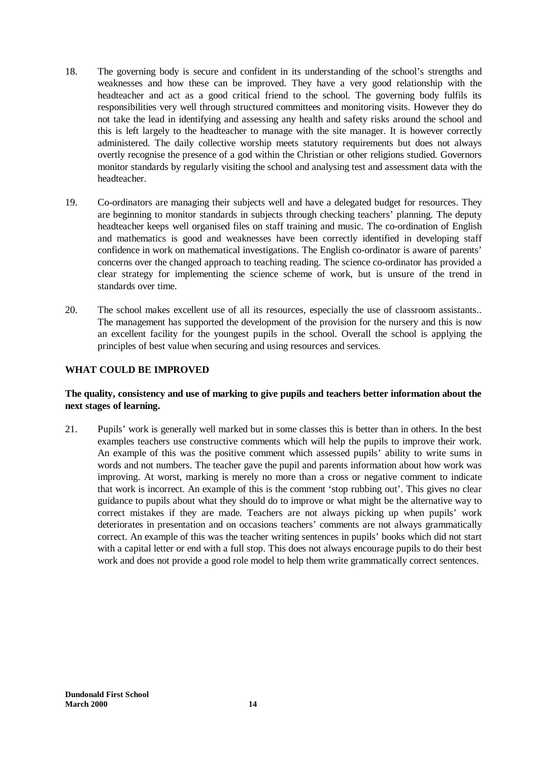- 18. The governing body is secure and confident in its understanding of the school's strengths and weaknesses and how these can be improved. They have a very good relationship with the headteacher and act as a good critical friend to the school. The governing body fulfils its responsibilities very well through structured committees and monitoring visits. However they do not take the lead in identifying and assessing any health and safety risks around the school and this is left largely to the headteacher to manage with the site manager. It is however correctly administered. The daily collective worship meets statutory requirements but does not always overtly recognise the presence of a god within the Christian or other religions studied. Governors monitor standards by regularly visiting the school and analysing test and assessment data with the headteacher.
- 19. Co-ordinators are managing their subjects well and have a delegated budget for resources. They are beginning to monitor standards in subjects through checking teachers' planning. The deputy headteacher keeps well organised files on staff training and music. The co-ordination of English and mathematics is good and weaknesses have been correctly identified in developing staff confidence in work on mathematical investigations. The English co-ordinator is aware of parents' concerns over the changed approach to teaching reading. The science co-ordinator has provided a clear strategy for implementing the science scheme of work, but is unsure of the trend in standards over time.
- 20. The school makes excellent use of all its resources, especially the use of classroom assistants.. The management has supported the development of the provision for the nursery and this is now an excellent facility for the youngest pupils in the school. Overall the school is applying the principles of best value when securing and using resources and services.

# **WHAT COULD BE IMPROVED**

### **The quality, consistency and use of marking to give pupils and teachers better information about the next stages of learning.**

21. Pupils' work is generally well marked but in some classes this is better than in others. In the best examples teachers use constructive comments which will help the pupils to improve their work. An example of this was the positive comment which assessed pupils' ability to write sums in words and not numbers. The teacher gave the pupil and parents information about how work was improving. At worst, marking is merely no more than a cross or negative comment to indicate that work is incorrect. An example of this is the comment 'stop rubbing out'. This gives no clear guidance to pupils about what they should do to improve or what might be the alternative way to correct mistakes if they are made. Teachers are not always picking up when pupils' work deteriorates in presentation and on occasions teachers' comments are not always grammatically correct. An example of this was the teacher writing sentences in pupils' books which did not start with a capital letter or end with a full stop. This does not always encourage pupils to do their best work and does not provide a good role model to help them write grammatically correct sentences.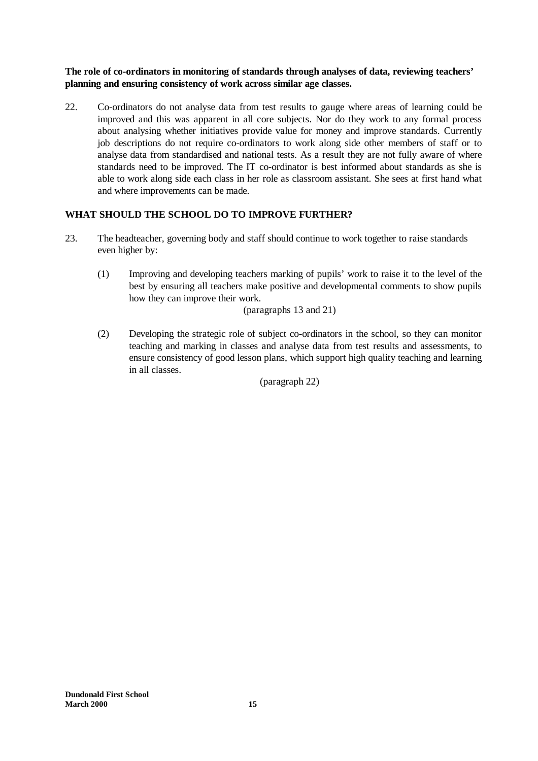**The role of co-ordinators in monitoring of standards through analyses of data, reviewing teachers' planning and ensuring consistency of work across similar age classes.**

22. Co-ordinators do not analyse data from test results to gauge where areas of learning could be improved and this was apparent in all core subjects. Nor do they work to any formal process about analysing whether initiatives provide value for money and improve standards. Currently job descriptions do not require co-ordinators to work along side other members of staff or to analyse data from standardised and national tests. As a result they are not fully aware of where standards need to be improved. The IT co-ordinator is best informed about standards as she is able to work along side each class in her role as classroom assistant. She sees at first hand what and where improvements can be made.

# **WHAT SHOULD THE SCHOOL DO TO IMPROVE FURTHER?**

- 23. The headteacher, governing body and staff should continue to work together to raise standards even higher by:
	- (1) Improving and developing teachers marking of pupils' work to raise it to the level of the best by ensuring all teachers make positive and developmental comments to show pupils how they can improve their work.

(paragraphs 13 and 21)

(2) Developing the strategic role of subject co-ordinators in the school, so they can monitor teaching and marking in classes and analyse data from test results and assessments, to ensure consistency of good lesson plans, which support high quality teaching and learning in all classes.

(paragraph 22)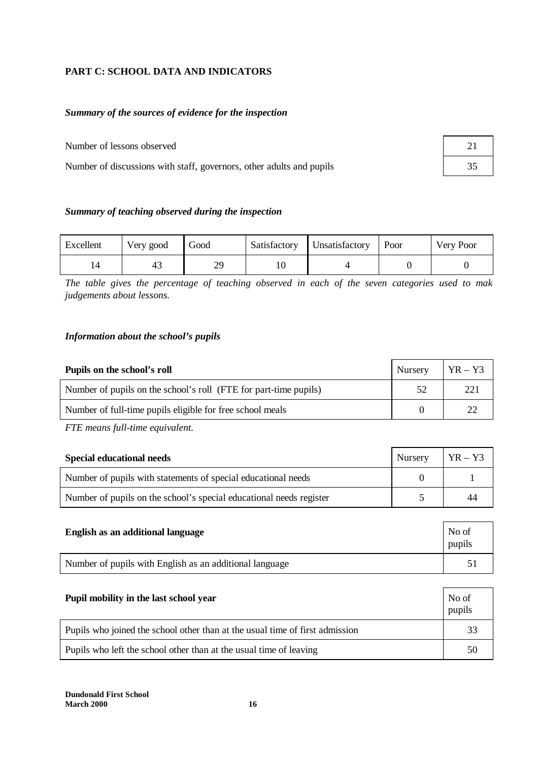# **PART C: SCHOOL DATA AND INDICATORS**

# *Summary of the sources of evidence for the inspection*

Number of lessons observed

Number of discussions with staff, governors, other adults and pupils

| 21 |  |
|----|--|
| 35 |  |

# *Summary of teaching observed during the inspection*

| Excellent | Very good | Good      | Satisfactory | Unsatisfactory | Poor | Very Poor |
|-----------|-----------|-----------|--------------|----------------|------|-----------|
|           | 43        | 2Q<br>ر ب |              |                |      |           |

The table gives the percentage of teaching observed in each of the seven categories used to mak *judgements about lessons.*

### *Information about the school's pupils*

| Pupils on the school's roll                                      | Nursery | $YR - Y3$ |
|------------------------------------------------------------------|---------|-----------|
| Number of pupils on the school's roll (FTE for part-time pupils) | 52      | 221       |
| Number of full-time pupils eligible for free school meals        |         |           |

*FTE means full-time equivalent.*

| <b>Special educational needs</b>                                    | Nursery | $YR - Y3$ |
|---------------------------------------------------------------------|---------|-----------|
| Number of pupils with statements of special educational needs       |         |           |
| Number of pupils on the school's special educational needs register |         | 44        |

| English as an additional language                       | No of<br>pupils |
|---------------------------------------------------------|-----------------|
| Number of pupils with English as an additional language |                 |

| Pupil mobility in the last school year                                       | No of<br>pupils |
|------------------------------------------------------------------------------|-----------------|
| Pupils who joined the school other than at the usual time of first admission | 33              |
| Pupils who left the school other than at the usual time of leaving           | 50              |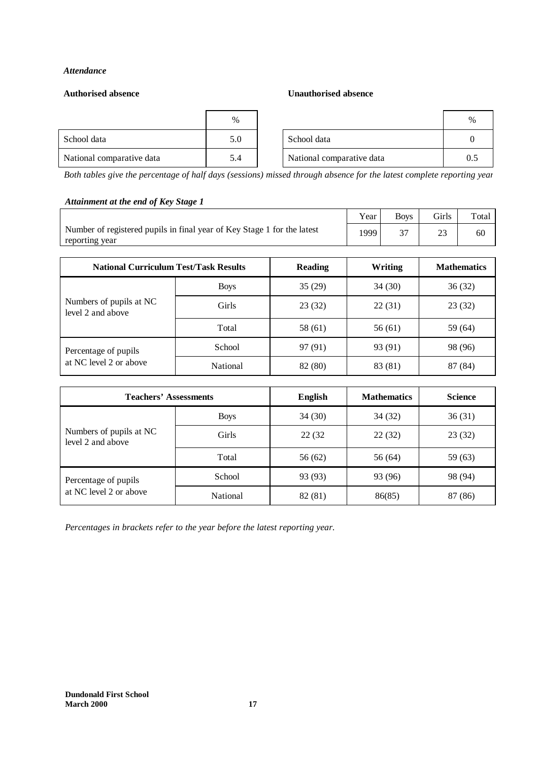### *Attendance*

### **Authorised absence Unauthorised absence**

|                           | %   |                           |  |
|---------------------------|-----|---------------------------|--|
| School data               | 5.0 | School data               |  |
| National comparative data | 5.4 | National comparative data |  |

*Both tables give the percentage of half days (sessions) missed through absence for the latest complete reporting year.*

# *Attainment at the end of Key Stage 1*

|                                                                         | Year | <b>Boys</b> | <b>Girls</b> | Total |
|-------------------------------------------------------------------------|------|-------------|--------------|-------|
| Number of registered pupils in final year of Key Stage 1 for the latest | 1999 |             |              | 60    |
| reporting year                                                          |      |             |              |       |

| <b>National Curriculum Test/Task Results</b> |             | <b>Reading</b> | Writing | <b>Mathematics</b> |
|----------------------------------------------|-------------|----------------|---------|--------------------|
|                                              | <b>Boys</b> | 35(29)         | 34 (30) | 36(32)             |
| Numbers of pupils at NC<br>level 2 and above | Girls       | 23 (32)        | 22(31)  | 23(32)             |
|                                              | Total       | 58 (61)        | 56 (61) | 59 (64)            |
| Percentage of pupils                         | School      | 97 (91)        | 93 (91) | 98 (96)            |
| at NC level 2 or above                       | National    | 82 (80)        | 83 (81) | 87 (84)            |

| <b>Teachers' Assessments</b>                 |              | <b>English</b> | <b>Mathematics</b> | <b>Science</b> |
|----------------------------------------------|--------------|----------------|--------------------|----------------|
|                                              | <b>Boys</b>  | 34(30)         | 34(32)             | 36(31)         |
| Numbers of pupils at NC<br>level 2 and above | <b>Girls</b> | 22 (32)        | 22(32)             | 23(32)         |
|                                              | Total        | 56 (62)        | 56 (64)            | 59(63)         |
| Percentage of pupils                         | School       | 93 (93)        | 93 (96)            | 98 (94)        |
| at NC level 2 or above                       | National     | 82 (81)        | 86(85)             | 87 (86)        |

*Percentages in brackets refer to the year before the latest reporting year.*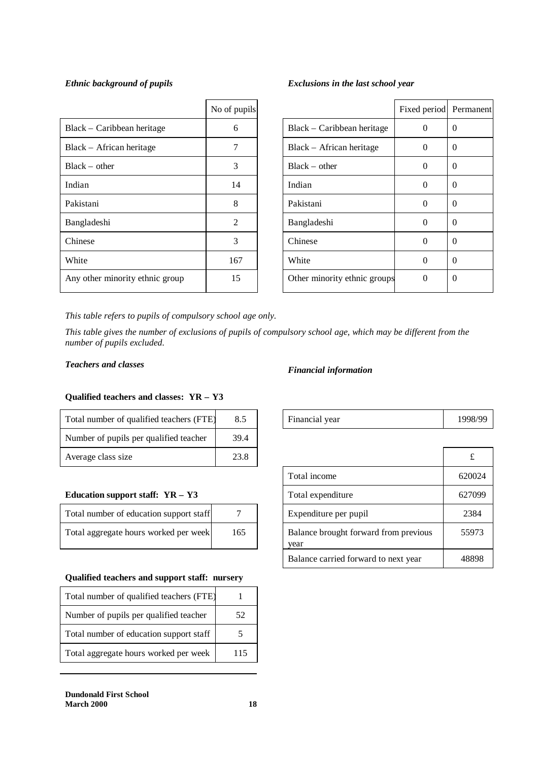|                                 | No of pupils   |                              | Fixed period P |          |
|---------------------------------|----------------|------------------------------|----------------|----------|
| Black – Caribbean heritage      | 6              | Black – Caribbean heritage   | $\Omega$       | $\theta$ |
| Black – African heritage        |                | Black – African heritage     | $\Omega$       | $\theta$ |
| $Black - other$                 | 3              | $Black - other$              | $\Omega$       | $\theta$ |
| Indian                          | 14             | Indian                       | $\Omega$       | $\Omega$ |
| Pakistani                       | 8              | Pakistani                    | $\Omega$       | $\theta$ |
| Bangladeshi                     | $\mathfrak{D}$ | Bangladeshi                  | $\Omega$       | $\theta$ |
| Chinese                         | 3              | Chinese                      | $\Omega$       | $\theta$ |
| White                           | 167            | White                        | $\Omega$       | $\theta$ |
| Any other minority ethnic group | 15             | Other minority ethnic groups | $\Omega$       | $\theta$ |

## *Ethnic background of pupils Exclusions in the last school year*

| No of pupils |                              | Fixed period Permanent |          |
|--------------|------------------------------|------------------------|----------|
| 6            | $Black - Caribbean heritage$ | $\Omega$               | $\Omega$ |
| 7            | Black - African heritage     | 0                      | 0        |
| 3            | $Black - other$              | $\Omega$               | 0        |
| 14           | Indian                       | $\Omega$               | $\theta$ |
| 8            | Pakistani                    | $\Omega$               | $\Omega$ |
| 2            | Bangladeshi                  | $\Omega$               | $\Omega$ |
| 3            | Chinese                      | 0                      | 0        |
| 167          | White                        | $\Omega$               | $\Omega$ |
| 15           | Other minority ethnic groups | $\Omega$               | 0        |
|              |                              |                        |          |

*This table refers to pupils of compulsory school age only.*

*This table gives the number of exclusions of pupils of compulsory school age, which may be different from the number of pupils excluded.*

# *Teachers and classes Financial information*

# **Qualified teachers and classes: YR – Y3**

| Total number of qualified teachers (FTE) | 8.5  |
|------------------------------------------|------|
| Number of pupils per qualified teacher   | 39.4 |
| Average class size                       | 23.8 |

#### Education support staff: YR - Y3

| Total number of education support staff |     | Expenditure per pupil                         |
|-----------------------------------------|-----|-----------------------------------------------|
| Total aggregate hours worked per week   | 165 | Balance brought forward from previous<br>vear |

#### **Qualified teachers and support staff: nursery**

| Total number of qualified teachers (FTE) |     |
|------------------------------------------|-----|
| Number of pupils per qualified teacher   | 52  |
| Total number of education support staff  |     |
| Total aggregate hours worked per week    | 115 |
|                                          |     |

| Average class size                           | 23.8 |                                               |        |
|----------------------------------------------|------|-----------------------------------------------|--------|
|                                              |      | Total income                                  | 620024 |
| Education support staff: $YR - Y3$           |      | Total expenditure                             | 627099 |
| Total number of education support staff      |      | Expenditure per pupil                         | 2384   |
| Total aggregate hours worked per week<br>165 |      | Balance brought forward from previous<br>year | 55973  |
|                                              |      | Balance carried forward to next year          | 48898  |

Financial year 1998/99